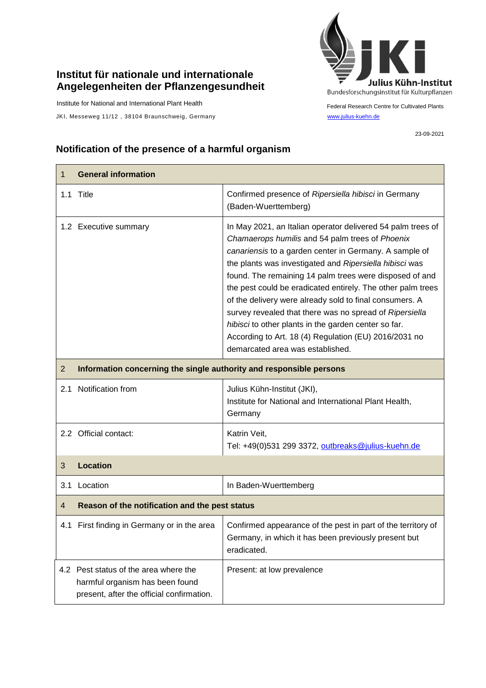## **Institut für nationale und internationale Angelegenheiten der Pflanzengesundheit**

Institute for National and International Plant Health

JKI, Messeweg 11/12, 38104 Braunschweig, Germany [www.julius-kuehn.de](http://www.julius-kuehn.de/)



Federal Research Centre for Cultivated Plants

23-09-2021

## **Notification of the presence of a harmful organism**

| 1              | <b>General information</b>                                                                                            |                                                                                                                                                                                                                                                                                                                                                                                                                                                                                                                                                                                                                                          |  |
|----------------|-----------------------------------------------------------------------------------------------------------------------|------------------------------------------------------------------------------------------------------------------------------------------------------------------------------------------------------------------------------------------------------------------------------------------------------------------------------------------------------------------------------------------------------------------------------------------------------------------------------------------------------------------------------------------------------------------------------------------------------------------------------------------|--|
|                | 1.1 Title                                                                                                             | Confirmed presence of Ripersiella hibisci in Germany<br>(Baden-Wuerttemberg)                                                                                                                                                                                                                                                                                                                                                                                                                                                                                                                                                             |  |
|                | 1.2 Executive summary                                                                                                 | In May 2021, an Italian operator delivered 54 palm trees of<br>Chamaerops humilis and 54 palm trees of Phoenix<br>canariensis to a garden center in Germany. A sample of<br>the plants was investigated and Ripersiella hibisci was<br>found. The remaining 14 palm trees were disposed of and<br>the pest could be eradicated entirely. The other palm trees<br>of the delivery were already sold to final consumers. A<br>survey revealed that there was no spread of Ripersiella<br>hibisci to other plants in the garden center so far.<br>According to Art. 18 (4) Regulation (EU) 2016/2031 no<br>demarcated area was established. |  |
| $\overline{2}$ | Information concerning the single authority and responsible persons                                                   |                                                                                                                                                                                                                                                                                                                                                                                                                                                                                                                                                                                                                                          |  |
| 2.1            | Notification from                                                                                                     | Julius Kühn-Institut (JKI),<br>Institute for National and International Plant Health,<br>Germany                                                                                                                                                                                                                                                                                                                                                                                                                                                                                                                                         |  |
|                | 2.2 Official contact:                                                                                                 | Katrin Veit,<br>Tel: +49(0)531 299 3372, outbreaks@julius-kuehn.de                                                                                                                                                                                                                                                                                                                                                                                                                                                                                                                                                                       |  |
| 3              | <b>Location</b>                                                                                                       |                                                                                                                                                                                                                                                                                                                                                                                                                                                                                                                                                                                                                                          |  |
| 3.1            | Location                                                                                                              | In Baden-Wuerttemberg                                                                                                                                                                                                                                                                                                                                                                                                                                                                                                                                                                                                                    |  |
| 4              | Reason of the notification and the pest status                                                                        |                                                                                                                                                                                                                                                                                                                                                                                                                                                                                                                                                                                                                                          |  |
|                | 4.1 First finding in Germany or in the area                                                                           | Confirmed appearance of the pest in part of the territory of<br>Germany, in which it has been previously present but<br>eradicated.                                                                                                                                                                                                                                                                                                                                                                                                                                                                                                      |  |
|                | 4.2 Pest status of the area where the<br>harmful organism has been found<br>present, after the official confirmation. | Present: at low prevalence                                                                                                                                                                                                                                                                                                                                                                                                                                                                                                                                                                                                               |  |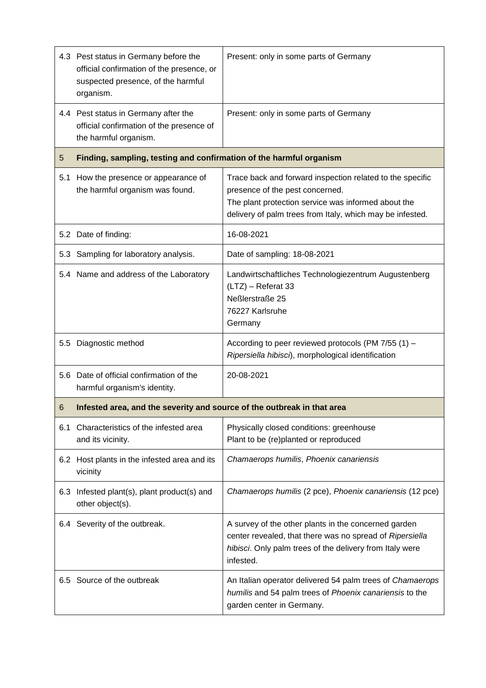|         | 4.3 Pest status in Germany before the<br>official confirmation of the presence, or<br>suspected presence, of the harmful<br>organism. | Present: only in some parts of Germany                                                                                                                                                                           |  |
|---------|---------------------------------------------------------------------------------------------------------------------------------------|------------------------------------------------------------------------------------------------------------------------------------------------------------------------------------------------------------------|--|
|         | 4.4 Pest status in Germany after the<br>official confirmation of the presence of<br>the harmful organism.                             | Present: only in some parts of Germany                                                                                                                                                                           |  |
| 5       | Finding, sampling, testing and confirmation of the harmful organism                                                                   |                                                                                                                                                                                                                  |  |
| 5.1     | How the presence or appearance of<br>the harmful organism was found.                                                                  | Trace back and forward inspection related to the specific<br>presence of the pest concerned.<br>The plant protection service was informed about the<br>delivery of palm trees from Italy, which may be infested. |  |
|         | 5.2 Date of finding:                                                                                                                  | 16-08-2021                                                                                                                                                                                                       |  |
|         | 5.3 Sampling for laboratory analysis.                                                                                                 | Date of sampling: 18-08-2021                                                                                                                                                                                     |  |
|         | 5.4 Name and address of the Laboratory                                                                                                | Landwirtschaftliches Technologiezentrum Augustenberg<br>(LTZ) - Referat 33<br>Neßlerstraße 25<br>76227 Karlsruhe<br>Germany                                                                                      |  |
| $5.5\,$ | Diagnostic method                                                                                                                     | According to peer reviewed protocols (PM 7/55 (1) -<br>Ripersiella hibisci), morphological identification                                                                                                        |  |
|         | 5.6 Date of official confirmation of the<br>harmful organism's identity.                                                              | 20-08-2021                                                                                                                                                                                                       |  |
| 6       | Infested area, and the severity and source of the outbreak in that area                                                               |                                                                                                                                                                                                                  |  |
| 6.1     | Characteristics of the infested area<br>and its vicinity.                                                                             | Physically closed conditions: greenhouse<br>Plant to be (re)planted or reproduced                                                                                                                                |  |
|         | 6.2 Host plants in the infested area and its<br>vicinity                                                                              | Chamaerops humilis, Phoenix canariensis                                                                                                                                                                          |  |
| 6.3     | Infested plant(s), plant product(s) and<br>other object(s).                                                                           | Chamaerops humilis (2 pce), Phoenix canariensis (12 pce)                                                                                                                                                         |  |
|         | 6.4 Severity of the outbreak.                                                                                                         | A survey of the other plants in the concerned garden<br>center revealed, that there was no spread of Ripersiella<br>hibisci. Only palm trees of the delivery from Italy were<br>infested.                        |  |
|         | 6.5 Source of the outbreak                                                                                                            | An Italian operator delivered 54 palm trees of Chamaerops<br>humilis and 54 palm trees of Phoenix canariensis to the<br>garden center in Germany.                                                                |  |